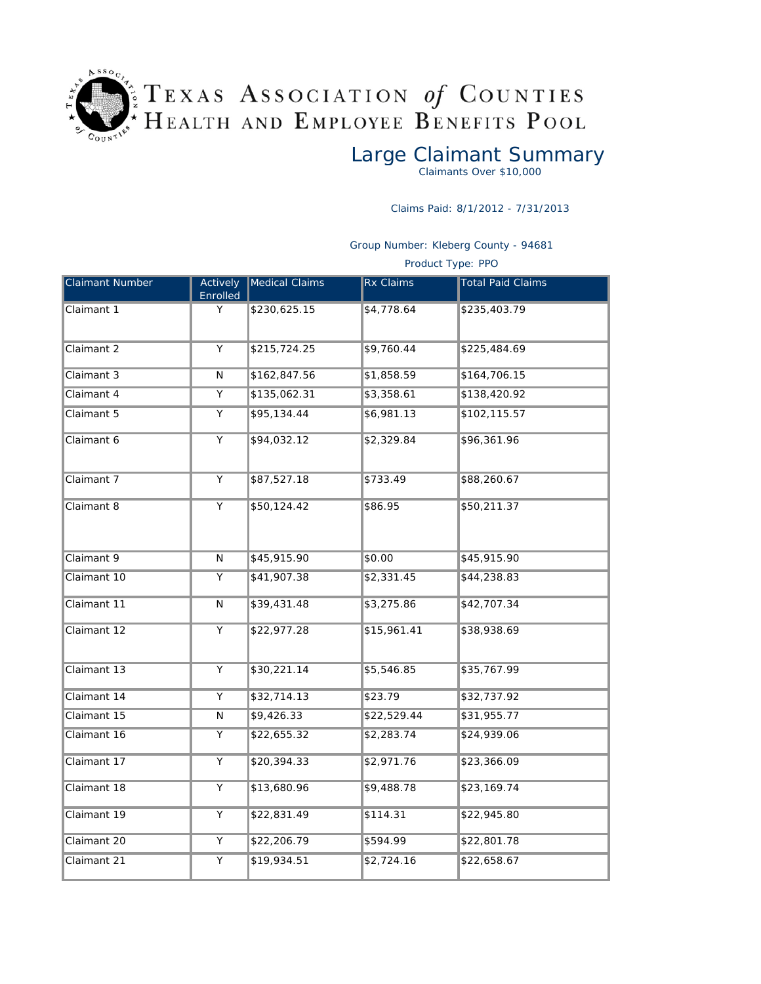

*Large Claimant Summary*

Claimants Over \$10,000

Claims Paid: 8/1/2012 - 7/31/2013

Group Number: Kleberg County - 94681

Product Type: PPO

| <b>Claimant Number</b> | Actively<br>Enrolled    | Medical Claims | <b>Rx Claims</b> | <b>Total Paid Claims</b> |
|------------------------|-------------------------|----------------|------------------|--------------------------|
| Claimant 1             | Y                       | \$230,625.15   | \$4,778.64       | \$235,403.79             |
| Claimant 2             | Y                       | \$215,724.25   | \$9,760.44       | \$225,484.69             |
| Claimant 3             | $\overline{\mathsf{N}}$ | \$162,847.56   | \$1,858.59       | \$164,706.15             |
| Claimant 4             | Y                       | \$135,062.31   | \$3,358.61       | \$138,420.92             |
| Claimant 5             | Y                       | \$95,134.44    | \$6,981.13       | \$102, 115.57            |
| Claimant 6             | Y                       | \$94,032.12    | \$2,329.84       | \$96,361.96              |
| Claimant 7             | $\overline{Y}$          | \$87,527.18    | \$733.49         | \$88,260.67              |
| Claimant 8             | Y                       | \$50,124.42    | \$86.95          | \$50,211.37              |
| Claimant 9             | $\overline{\mathsf{N}}$ | \$45,915.90    | \$0.00           | \$45,915.90              |
| Claimant 10            | Υ                       | \$41,907.38    | \$2,331.45       | \$44,238.83              |
| Claimant 11            | N                       | \$39,431.48    | \$3,275.86       | \$42,707.34              |
| Claimant 12            | Υ                       | \$22,977.28    | \$15,961.41      | \$38,938.69              |
| Claimant 13            | $\overline{Y}$          | \$30,221.14    | \$5,546.85       | \$35,767.99              |
| Claimant 14            | $\overline{Y}$          | \$32,714.13    | \$23.79          | \$32,737.92              |
| Claimant 15            | ${\sf N}$               | \$9,426.33     | \$22,529.44      | \$31,955.77              |
| Claimant 16            | Υ                       | \$22,655.32    | \$2,283.74       | \$24,939.06              |
| Claimant 17            | Y                       | \$20,394.33    | \$2,971.76       | \$23,366.09              |
| Claimant 18            | $\overline{Y}$          | \$13,680.96    | \$9,488.78       | \$23,169.74              |
| Claimant 19            | Υ                       | \$22,831.49    | \$114.31         | \$22,945.80              |
| Claimant 20            | Υ                       | \$22,206.79    | \$594.99         | \$22,801.78              |
| Claimant 21            | Υ                       | \$19,934.51    | \$2,724.16       | \$22,658.67              |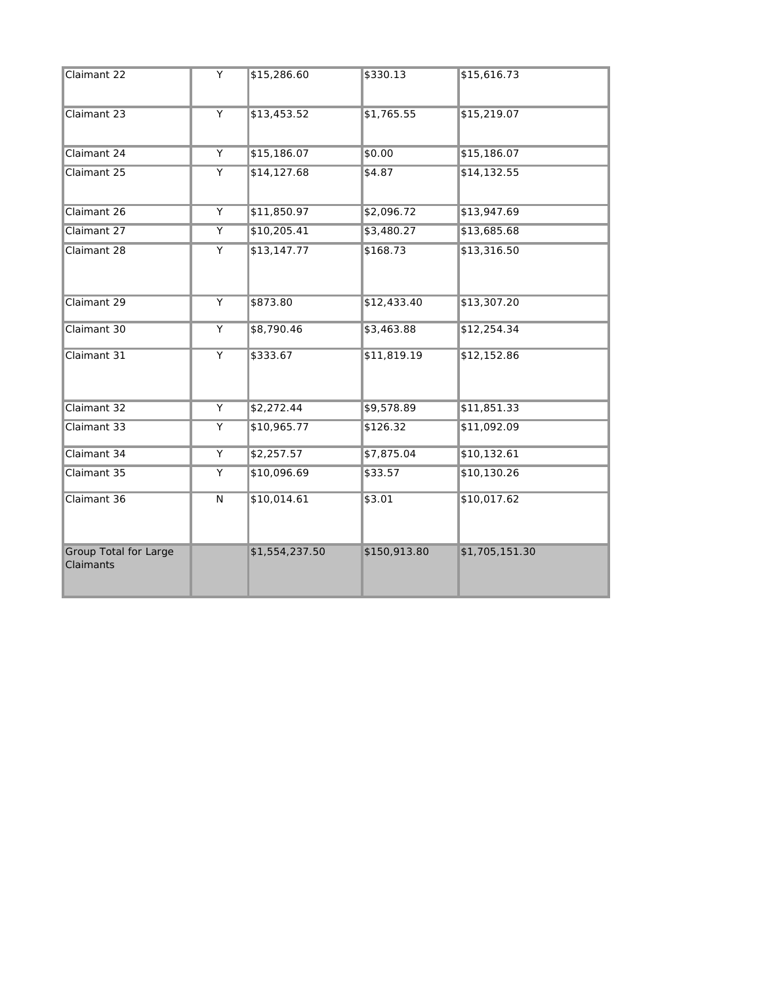| Claimant 22                               | Y              | \$15,286.60    | \$330.13     | \$15,616.73    |
|-------------------------------------------|----------------|----------------|--------------|----------------|
| Claimant 23                               | $\overline{Y}$ | \$13,453.52    | \$1,765.55   | \$15,219.07    |
| Claimant 24                               | Y              | \$15,186.07    | \$0.00       | \$15,186.07    |
| Claimant 25                               | $\overline{Y}$ | \$14,127.68    | \$4.87       | \$14,132.55    |
| Claimant 26                               | Υ              | \$11,850.97    | \$2,096.72   | \$13,947.69    |
| Claimant 27                               | Y              | \$10,205.41    | \$3,480.27   | \$13,685.68    |
| Claimant 28                               | $\overline{Y}$ | \$13,147.77    | \$168.73     | \$13,316.50    |
| Claimant 29                               | $\overline{Y}$ | \$873.80       | \$12,433.40  | \$13,307.20    |
| Claimant 30                               | Y              | \$8,790.46     | \$3,463.88   | \$12,254.34    |
| Claimant 31                               | Y              | \$333.67       | \$11,819.19  | \$12,152.86    |
| Claimant 32                               | $\overline{Y}$ | \$2,272.44     | \$9,578.89   | \$11,851.33    |
| Claimant 33                               | Y              | \$10,965.77    | \$126.32     | \$11,092.09    |
| Claimant 34                               | Υ              | \$2,257.57     | \$7,875.04   | \$10,132.61    |
| Claimant 35                               | Υ              | \$10,096.69    | \$33.57      | \$10,130.26    |
| Claimant 36                               | N              | \$10,014.61    | \$3.01       | \$10,017.62    |
| <b>Group Total for Large</b><br>Claimants |                | \$1,554,237.50 | \$150,913.80 | \$1,705,151.30 |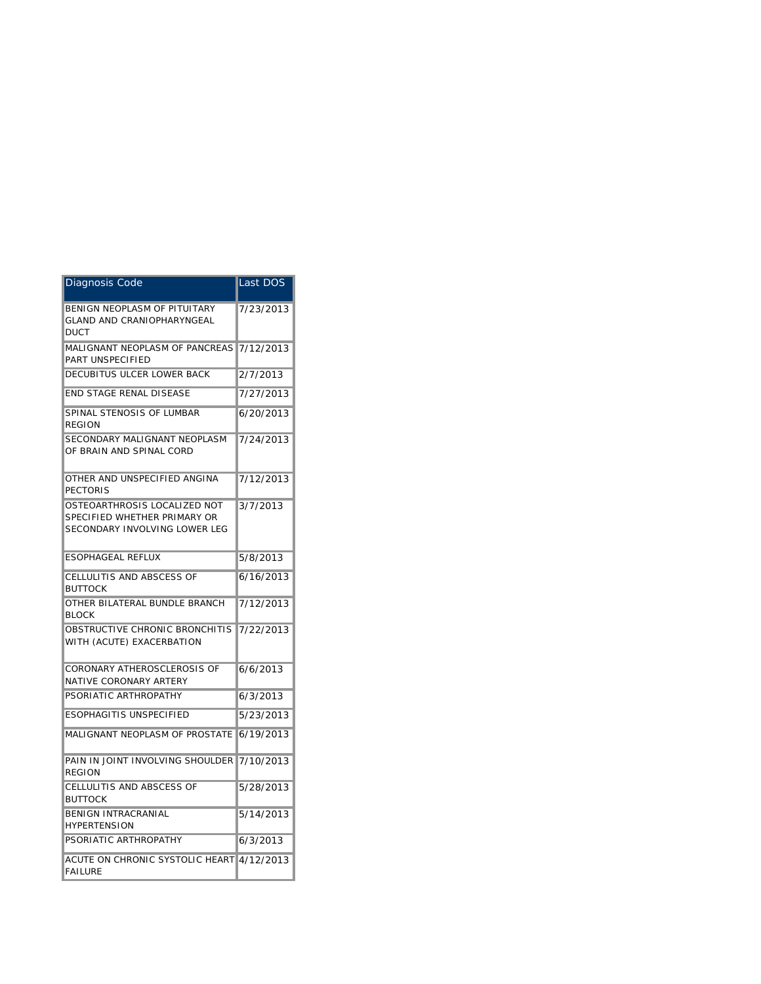| Diagnosis Code                                                                                | Last DOS  |
|-----------------------------------------------------------------------------------------------|-----------|
| BENIGN NEOPLASM OF PITUITARY<br><b>GLAND AND CRANIOPHARYNGEAL</b><br><b>DUCT</b>              | 7/23/2013 |
| MALIGNANT NEOPLASM OF PANCREAS<br>PART UNSPECIFIED                                            | 7/12/2013 |
| DECUBITUS ULCER LOWER BACK                                                                    | 2/7/2013  |
| END STAGE RENAL DISEASE                                                                       | 7/27/2013 |
| SPINAL STENOSIS OF LUMBAR<br><b>REGION</b>                                                    | 6/20/2013 |
| SECONDARY MALIGNANT NEOPLASM<br>OF BRAIN AND SPINAL CORD                                      | 7/24/2013 |
| OTHER AND UNSPECIFIED ANGINA<br><b>PECTORIS</b>                                               | 7/12/2013 |
| OSTEOARTHROSIS LOCALIZED NOT<br>SPECIFIED WHETHER PRIMARY OR<br>SECONDARY INVOLVING LOWER LEG | 3/7/2013  |
| <b>ESOPHAGEAL REFLUX</b>                                                                      | 5/8/2013  |
| CELLULITIS AND ABSCESS OF<br><b>BUTTOCK</b>                                                   | 6/16/2013 |
| OTHER BILATERAL BUNDLE BRANCH<br><b>BLOCK</b>                                                 | 7/12/2013 |
| OBSTRUCTIVE CHRONIC BRONCHITIS<br>WITH (ACUTE) EXACERBATION                                   | 7/22/2013 |
| CORONARY ATHEROSCLEROSIS OF<br>NATIVE CORONARY ARTERY                                         | 6/6/2013  |
| PSORIATIC ARTHROPATHY                                                                         | 6/3/2013  |
| ESOPHAGITIS UNSPECIFIED                                                                       | 5/23/2013 |
| MALIGNANT NEOPLASM OF PROSTATE                                                                | 6/19/2013 |
| PAIN IN JOINT INVOLVING SHOULDER<br><b>REGION</b>                                             | 7/10/2013 |
| CELLULITIS AND ABSCESS OF<br><b>BUTTOCK</b>                                                   | 5/28/2013 |
| <b>BENIGN INTRACRANIAL</b><br><b>HYPERTENSION</b>                                             | 5/14/2013 |
| PSORIATIC ARTHROPATHY                                                                         | 6/3/2013  |
| ACUTE ON CHRONIC SYSTOLIC HEART 4/12/2013<br><b>FAILURE</b>                                   |           |